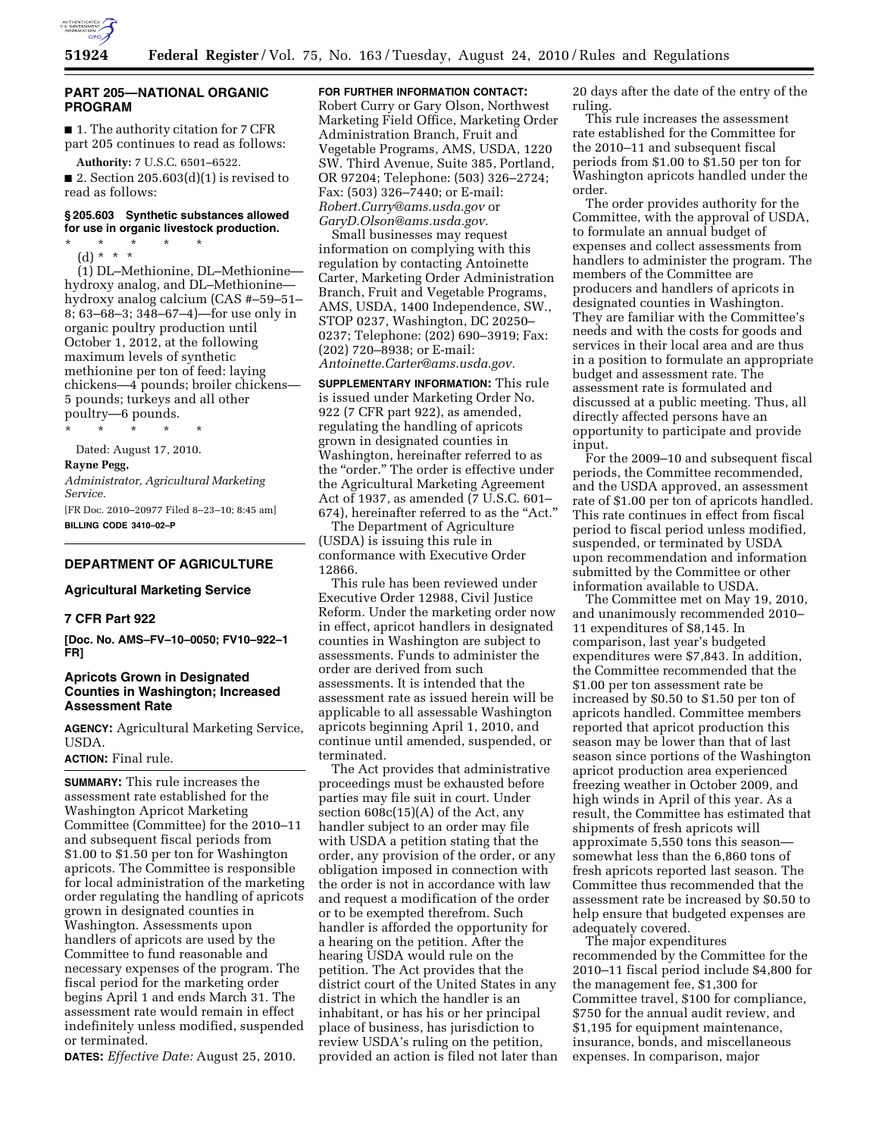

#### **PART 205—NATIONAL ORGANIC PROGRAM**

■ 1. The authority citation for 7 CFR part 205 continues to read as follows: **Authority:** 7 U.S.C. 6501–6522.

■ 2. Section 205.603 $(d)(1)$  is revised to read as follows:

# **§ 205.603 Synthetic substances allowed for use in organic livestock production.**

\* \* \* \* \*

(d) \* \* \* (1) DL–Methionine, DL–Methionine hydroxy analog, and DL–Methionine hydroxy analog calcium (CAS #–59–51– 8; 63–68–3; 348–67–4)—for use only in organic poultry production until October 1, 2012, at the following maximum levels of synthetic methionine per ton of feed: laying chickens—4 pounds; broiler chickens— 5 pounds; turkeys and all other poultry—6 pounds.

\* \* \* \* \* Dated: August 17, 2010.

#### **Rayne Pegg,**

*Administrator, Agricultural Marketing Service.* 

[FR Doc. 2010–20977 Filed 8–23–10; 8:45 am] **BILLING CODE 3410–02–P** 

## **DEPARTMENT OF AGRICULTURE**

#### **Agricultural Marketing Service**

## **7 CFR Part 922**

**[Doc. No. AMS–FV–10–0050; FV10–922–1 FR]** 

# **Apricots Grown in Designated Counties in Washington; Increased Assessment Rate**

**AGENCY:** Agricultural Marketing Service, USDA.

# **ACTION:** Final rule.

**SUMMARY:** This rule increases the assessment rate established for the Washington Apricot Marketing Committee (Committee) for the 2010–11 and subsequent fiscal periods from \$1.00 to \$1.50 per ton for Washington apricots. The Committee is responsible for local administration of the marketing order regulating the handling of apricots grown in designated counties in Washington. Assessments upon handlers of apricots are used by the Committee to fund reasonable and necessary expenses of the program. The fiscal period for the marketing order begins April 1 and ends March 31. The assessment rate would remain in effect indefinitely unless modified, suspended or terminated.

**DATES:** *Effective Date:* August 25, 2010.

# **FOR FURTHER INFORMATION CONTACT:**

Robert Curry or Gary Olson, Northwest Marketing Field Office, Marketing Order Administration Branch, Fruit and Vegetable Programs, AMS, USDA, 1220 SW. Third Avenue, Suite 385, Portland, OR 97204; Telephone: (503) 326–2724; Fax: (503) 326–7440; or E-mail: *[Robert.Curry@ams.usda.gov](mailto:Robert.Curry@ams.usda.gov)* or *[GaryD.Olson@ams.usda.gov.](mailto:GaryD.Olson@ams.usda.gov)* 

Small businesses may request information on complying with this regulation by contacting Antoinette Carter, Marketing Order Administration Branch, Fruit and Vegetable Programs, AMS, USDA, 1400 Independence, SW., STOP 0237, Washington, DC 20250– 0237; Telephone: (202) 690–3919; Fax: (202) 720–8938; or E-mail: *[Antoinette.Carter@ams.usda.gov.](mailto:Antoinette.Carter@ams.usda.gov)* 

**SUPPLEMENTARY INFORMATION:** This rule is issued under Marketing Order No. 922 (7 CFR part 922), as amended, regulating the handling of apricots grown in designated counties in Washington, hereinafter referred to as the "order." The order is effective under the Agricultural Marketing Agreement Act of 1937, as amended (7 U.S.C. 601– 674), hereinafter referred to as the "Act."

The Department of Agriculture (USDA) is issuing this rule in conformance with Executive Order 12866.

This rule has been reviewed under Executive Order 12988, Civil Justice Reform. Under the marketing order now in effect, apricot handlers in designated counties in Washington are subject to assessments. Funds to administer the order are derived from such assessments. It is intended that the assessment rate as issued herein will be applicable to all assessable Washington apricots beginning April 1, 2010, and continue until amended, suspended, or terminated.

The Act provides that administrative proceedings must be exhausted before parties may file suit in court. Under section 608c(15)(A) of the Act, any handler subject to an order may file with USDA a petition stating that the order, any provision of the order, or any obligation imposed in connection with the order is not in accordance with law and request a modification of the order or to be exempted therefrom. Such handler is afforded the opportunity for a hearing on the petition. After the hearing USDA would rule on the petition. The Act provides that the district court of the United States in any district in which the handler is an inhabitant, or has his or her principal place of business, has jurisdiction to review USDA's ruling on the petition, provided an action is filed not later than 20 days after the date of the entry of the ruling.

This rule increases the assessment rate established for the Committee for the 2010–11 and subsequent fiscal periods from \$1.00 to \$1.50 per ton for Washington apricots handled under the order.

The order provides authority for the Committee, with the approval of USDA, to formulate an annual budget of expenses and collect assessments from handlers to administer the program. The members of the Committee are producers and handlers of apricots in designated counties in Washington. They are familiar with the Committee's needs and with the costs for goods and services in their local area and are thus in a position to formulate an appropriate budget and assessment rate. The assessment rate is formulated and discussed at a public meeting. Thus, all directly affected persons have an opportunity to participate and provide input.

For the 2009–10 and subsequent fiscal periods, the Committee recommended, and the USDA approved, an assessment rate of \$1.00 per ton of apricots handled. This rate continues in effect from fiscal period to fiscal period unless modified, suspended, or terminated by USDA upon recommendation and information submitted by the Committee or other information available to USDA.

The Committee met on May 19, 2010, and unanimously recommended 2010– 11 expenditures of \$8,145. In comparison, last year's budgeted expenditures were \$7,843. In addition, the Committee recommended that the \$1.00 per ton assessment rate be increased by \$0.50 to \$1.50 per ton of apricots handled. Committee members reported that apricot production this season may be lower than that of last season since portions of the Washington apricot production area experienced freezing weather in October 2009, and high winds in April of this year. As a result, the Committee has estimated that shipments of fresh apricots will approximate 5,550 tons this season somewhat less than the 6,860 tons of fresh apricots reported last season. The Committee thus recommended that the assessment rate be increased by \$0.50 to help ensure that budgeted expenses are adequately covered.

The major expenditures recommended by the Committee for the 2010–11 fiscal period include \$4,800 for the management fee, \$1,300 for Committee travel, \$100 for compliance, \$750 for the annual audit review, and \$1,195 for equipment maintenance, insurance, bonds, and miscellaneous expenses. In comparison, major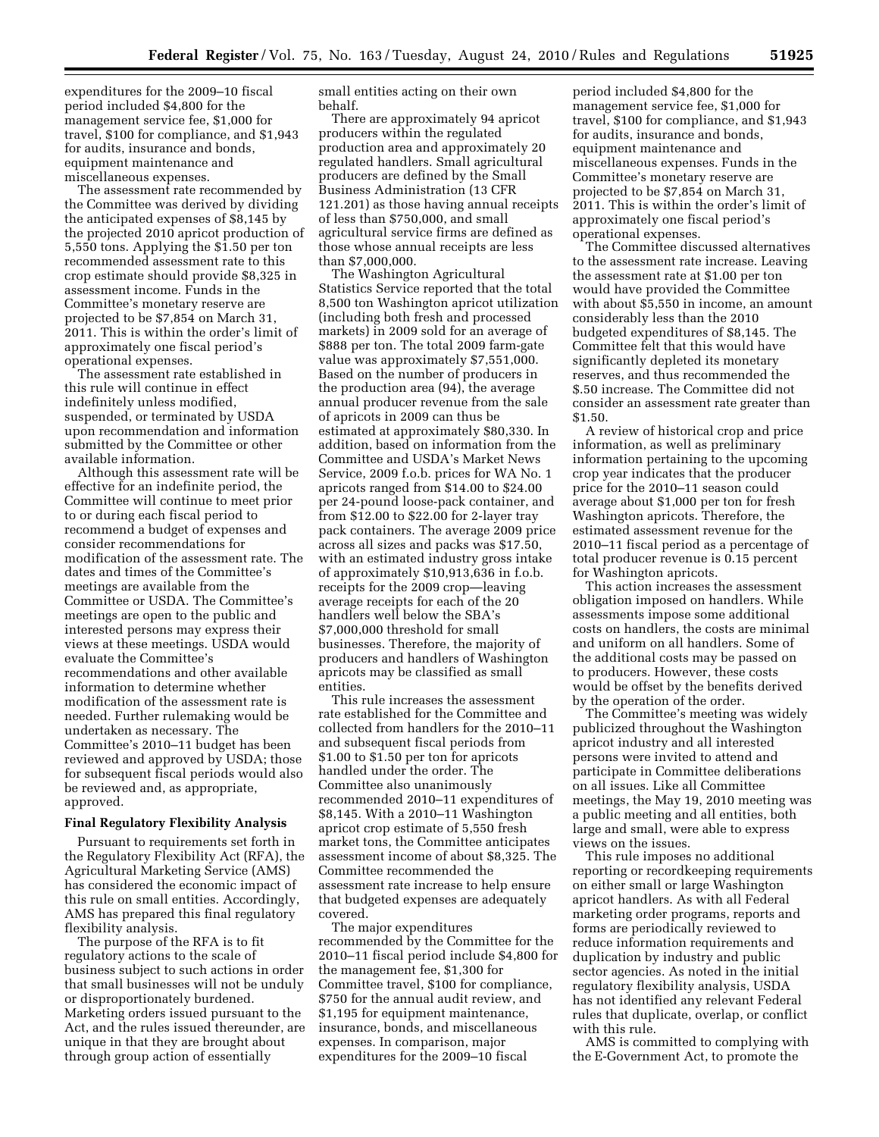expenditures for the 2009–10 fiscal period included \$4,800 for the management service fee, \$1,000 for travel, \$100 for compliance, and \$1,943 for audits, insurance and bonds, equipment maintenance and miscellaneous expenses.

The assessment rate recommended by the Committee was derived by dividing the anticipated expenses of \$8,145 by the projected 2010 apricot production of 5,550 tons. Applying the \$1.50 per ton recommended assessment rate to this crop estimate should provide \$8,325 in assessment income. Funds in the Committee's monetary reserve are projected to be \$7,854 on March 31, 2011. This is within the order's limit of approximately one fiscal period's operational expenses.

The assessment rate established in this rule will continue in effect indefinitely unless modified, suspended, or terminated by USDA upon recommendation and information submitted by the Committee or other available information.

Although this assessment rate will be effective for an indefinite period, the Committee will continue to meet prior to or during each fiscal period to recommend a budget of expenses and consider recommendations for modification of the assessment rate. The dates and times of the Committee's meetings are available from the Committee or USDA. The Committee's meetings are open to the public and interested persons may express their views at these meetings. USDA would evaluate the Committee's recommendations and other available information to determine whether modification of the assessment rate is needed. Further rulemaking would be undertaken as necessary. The Committee's 2010–11 budget has been reviewed and approved by USDA; those for subsequent fiscal periods would also be reviewed and, as appropriate, approved.

#### **Final Regulatory Flexibility Analysis**

Pursuant to requirements set forth in the Regulatory Flexibility Act (RFA), the Agricultural Marketing Service (AMS) has considered the economic impact of this rule on small entities. Accordingly, AMS has prepared this final regulatory flexibility analysis.

The purpose of the RFA is to fit regulatory actions to the scale of business subject to such actions in order that small businesses will not be unduly or disproportionately burdened. Marketing orders issued pursuant to the Act, and the rules issued thereunder, are unique in that they are brought about through group action of essentially

small entities acting on their own behalf.

There are approximately 94 apricot producers within the regulated production area and approximately 20 regulated handlers. Small agricultural producers are defined by the Small Business Administration (13 CFR 121.201) as those having annual receipts of less than \$750,000, and small agricultural service firms are defined as those whose annual receipts are less than \$7,000,000.

The Washington Agricultural Statistics Service reported that the total 8,500 ton Washington apricot utilization (including both fresh and processed markets) in 2009 sold for an average of \$888 per ton. The total 2009 farm-gate value was approximately \$7,551,000. Based on the number of producers in the production area (94), the average annual producer revenue from the sale of apricots in 2009 can thus be estimated at approximately \$80,330. In addition, based on information from the Committee and USDA's Market News Service, 2009 f.o.b. prices for WA No. 1 apricots ranged from \$14.00 to \$24.00 per 24-pound loose-pack container, and from \$12.00 to \$22.00 for 2-layer tray pack containers. The average 2009 price across all sizes and packs was \$17.50, with an estimated industry gross intake of approximately \$10,913,636 in f.o.b. receipts for the 2009 crop—leaving average receipts for each of the 20 handlers well below the SBA's \$7,000,000 threshold for small businesses. Therefore, the majority of producers and handlers of Washington apricots may be classified as small entities.

This rule increases the assessment rate established for the Committee and collected from handlers for the 2010–11 and subsequent fiscal periods from \$1.00 to \$1.50 per ton for apricots handled under the order. The Committee also unanimously recommended 2010–11 expenditures of \$8,145. With a 2010–11 Washington apricot crop estimate of 5,550 fresh market tons, the Committee anticipates assessment income of about \$8,325. The Committee recommended the assessment rate increase to help ensure that budgeted expenses are adequately covered.

The major expenditures recommended by the Committee for the 2010–11 fiscal period include \$4,800 for the management fee, \$1,300 for Committee travel, \$100 for compliance, \$750 for the annual audit review, and \$1,195 for equipment maintenance, insurance, bonds, and miscellaneous expenses. In comparison, major expenditures for the 2009–10 fiscal

period included \$4,800 for the management service fee, \$1,000 for travel, \$100 for compliance, and \$1,943 for audits, insurance and bonds, equipment maintenance and miscellaneous expenses. Funds in the Committee's monetary reserve are projected to be \$7,854 on March 31, 2011. This is within the order's limit of approximately one fiscal period's operational expenses.

The Committee discussed alternatives to the assessment rate increase. Leaving the assessment rate at \$1.00 per ton would have provided the Committee with about \$5,550 in income, an amount considerably less than the 2010 budgeted expenditures of \$8,145. The Committee felt that this would have significantly depleted its monetary reserves, and thus recommended the \$.50 increase. The Committee did not consider an assessment rate greater than \$1.50.

A review of historical crop and price information, as well as preliminary information pertaining to the upcoming crop year indicates that the producer price for the 2010–11 season could average about \$1,000 per ton for fresh Washington apricots. Therefore, the estimated assessment revenue for the 2010–11 fiscal period as a percentage of total producer revenue is 0.15 percent for Washington apricots.

This action increases the assessment obligation imposed on handlers. While assessments impose some additional costs on handlers, the costs are minimal and uniform on all handlers. Some of the additional costs may be passed on to producers. However, these costs would be offset by the benefits derived by the operation of the order.

The Committee's meeting was widely publicized throughout the Washington apricot industry and all interested persons were invited to attend and participate in Committee deliberations on all issues. Like all Committee meetings, the May 19, 2010 meeting was a public meeting and all entities, both large and small, were able to express views on the issues.

This rule imposes no additional reporting or recordkeeping requirements on either small or large Washington apricot handlers. As with all Federal marketing order programs, reports and forms are periodically reviewed to reduce information requirements and duplication by industry and public sector agencies. As noted in the initial regulatory flexibility analysis, USDA has not identified any relevant Federal rules that duplicate, overlap, or conflict with this rule.

AMS is committed to complying with the E-Government Act, to promote the